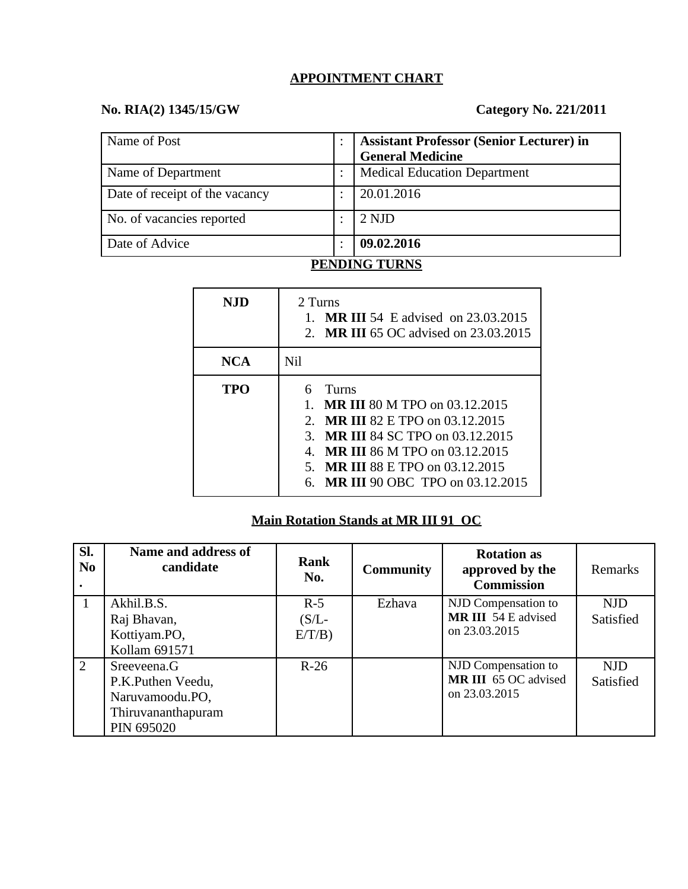#### **APPOINTMENT CHART**

#### **No. RIA(2) 1345/15/GW Category No. 221/2011**

| Name of Post                   |           | <b>Assistant Professor (Senior Lecturer) in</b><br><b>General Medicine</b> |
|--------------------------------|-----------|----------------------------------------------------------------------------|
| Name of Department             |           | <b>Medical Education Department</b>                                        |
| Date of receipt of the vacancy |           | 20.01.2016                                                                 |
| No. of vacancies reported      |           | 2 NJD                                                                      |
| Date of Advice                 | $\bullet$ | 09.02.2016                                                                 |

## **PENDING TURNS**

| NJD        | 2 Turns<br><b>MR III 54 E advised on 23.03.2015</b><br>2. MR III 65 OC advised on 23.03.2015                                                                                                                                                                                           |
|------------|----------------------------------------------------------------------------------------------------------------------------------------------------------------------------------------------------------------------------------------------------------------------------------------|
| <b>NCA</b> | Nil                                                                                                                                                                                                                                                                                    |
| TPO        | 6<br>Turns<br><b>MR III 80 M TPO on 03.12.2015</b><br>$1_{-}$<br><b>MR III 82 E TPO on 03.12.2015</b><br>$2^{\circ}$<br>3. MR III 84 SC TPO on 03.12.2015<br>MR III 86 M TPO on 03.12.2015<br>$\mathbf{4}$ .<br>5. MR III 88 E TPO on 03.12.2015<br>6. MR III 90 OBC TPO on 03.12.2015 |

## **Main Rotation Stands at MR III 91 OC**

| SI.<br>N <sub>0</sub> | Name and address of<br>candidate                                                        | Rank<br>No.       | <b>Community</b> | <b>Rotation as</b><br>approved by the<br><b>Commission</b>          | Remarks                        |
|-----------------------|-----------------------------------------------------------------------------------------|-------------------|------------------|---------------------------------------------------------------------|--------------------------------|
|                       | Akhil.B.S.<br>Raj Bhavan,                                                               | $R-5$<br>$(S/L -$ | Ezhava           | NJD Compensation to<br><b>MR III</b> 54 E advised                   | <b>NJD</b><br><b>Satisfied</b> |
|                       | Kottiyam.PO,<br>Kollam 691571                                                           | $E/T/B$ )         |                  | on 23.03.2015                                                       |                                |
| $\overline{2}$        | Sreeveena.G<br>P.K.Puthen Veedu,<br>Naruvamoodu.PO,<br>Thiruvananthapuram<br>PIN 695020 | $R-26$            |                  | NJD Compensation to<br><b>MR III</b> 65 OC advised<br>on 23.03.2015 | <b>NJD</b><br><b>Satisfied</b> |